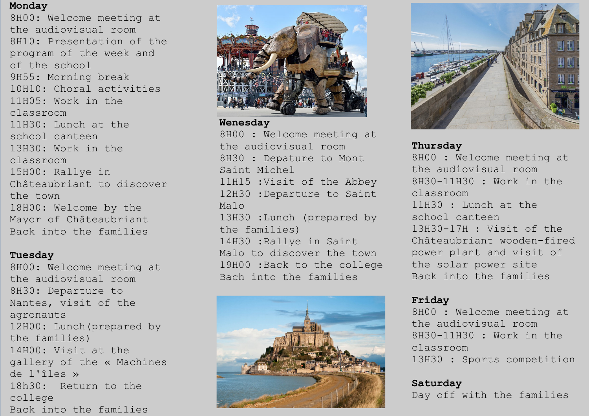## **Monday**

8H00: Welcome meeting at the audiovisual room 8H10: Presentation of the program of the week and of the school 9H55: Morning break 10H10: Choral activities 11H05: Work in the classroom 11H30: Lunch at the school canteen 13H30: Work in the classroom 15H00: Rallye in Châteaubriant to discover the town 18H00: Welcome by the Mayor of Châteaubriant Back into the families

### **Tuesday**

8H00: Welcome meeting at the audiovisual room 8H30: Departure to Nantes, visit of the agronauts 12H00: Lunch(prepared by the families) 14H00: Visit at the gallery of the « Machines de l'îles » 18h30: Return to the college Back into the families



#### **Wenesday**

8H00 : Welcome meeting at the audiovisual room 8H30 : Depature to Mont Saint Michel 11H15 :Visit of the Abbey 12H30 :Departure to Saint Malo 13H30 :Lunch (prepared by the families) 14H30 :Rallye in Saint Malo to discover the town 19H00 :Back to the college Bach into the families





# **Thursday**

8H00 : Welcome meeting at the audiovisual room 8H30-11H30 : Work in the classroom 11H30 : Lunch at the school canteen 13H30-17H : Visit of the Châteaubriant wooden-fired power plant and visit of the solar power site Back into the families

### **Friday**

8H00 : Welcome meeting at the audiovisual room 8H30-11H30 : Work in the classroom 13H30 : Sports competition

# **Saturday**

Day off with the families